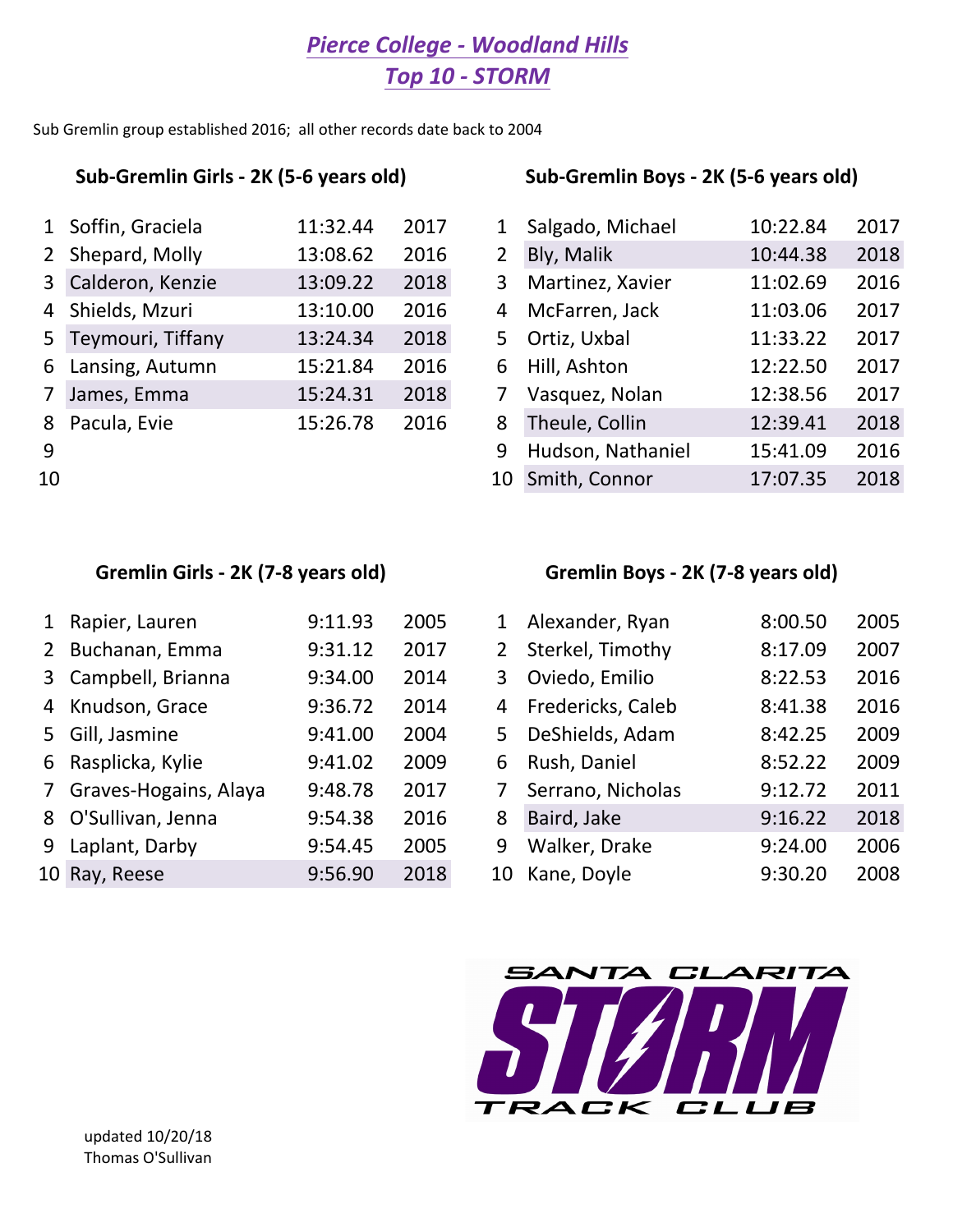## *Pierce College - Woodland Hills Top 10 - STORM*

Sub Gremlin group established 2016; all other records date back to 2004

|    | 1 Soffin, Graciela  | 11:32.44 | 2017 |                | Salgado, Michael  | 10:22.84 | 2017 |
|----|---------------------|----------|------|----------------|-------------------|----------|------|
|    | 2 Shepard, Molly    | 13:08.62 | 2016 | $\overline{2}$ | Bly, Malik        | 10:44.38 | 2018 |
|    | 3 Calderon, Kenzie  | 13:09.22 | 2018 | 3              | Martinez, Xavier  | 11:02.69 | 2016 |
|    | 4 Shields, Mzuri    | 13:10.00 | 2016 | 4              | McFarren, Jack    | 11:03.06 | 2017 |
|    | 5 Teymouri, Tiffany | 13:24.34 | 2018 | 5.             | Ortiz, Uxbal      | 11:33.22 | 2017 |
|    | 6 Lansing, Autumn   | 15:21.84 | 2016 | 6              | Hill, Ashton      | 12:22.50 | 2017 |
|    | 7 James, Emma       | 15:24.31 | 2018 |                | Vasquez, Nolan    | 12:38.56 | 2017 |
|    | 8 Pacula, Evie      | 15:26.78 | 2016 | 8              | Theule, Collin    | 12:39.41 | 2018 |
| 9  |                     |          |      | 9              | Hudson, Nathaniel | 15:41.09 | 2016 |
| 10 |                     |          |      | 10             | Smith, Connor     | 17:07.35 | 2018 |

### Sub-Gremlin Girls - 2K (5-6 years old) Sub-Gremlin Boys - 2K (5-6 years old)

|                | 1 Soffin, Graciela  | 11:32.44 | 2017 |    | Salgado, Michael  | 10:22.84 | 2017 |
|----------------|---------------------|----------|------|----|-------------------|----------|------|
|                | 2 Shepard, Molly    | 13:08.62 | 2016 | 2  | Bly, Malik        | 10:44.38 | 2018 |
|                | 3 Calderon, Kenzie  | 13:09.22 | 2018 | 3  | Martinez, Xavier  | 11:02.69 | 2016 |
|                | 4 Shields, Mzuri    | 13:10.00 | 2016 | 4  | McFarren, Jack    | 11:03.06 | 2017 |
|                | 5 Teymouri, Tiffany | 13:24.34 | 2018 | 5. | Ortiz, Uxbal      | 11:33.22 | 2017 |
|                | 6 Lansing, Autumn   | 15:21.84 | 2016 | 6  | Hill, Ashton      | 12:22.50 | 2017 |
| 7 <sup>1</sup> | James, Emma         | 15:24.31 | 2018 |    | Vasquez, Nolan    | 12:38.56 | 2017 |
|                | 8 Pacula, Evie      | 15:26.78 | 2016 | 8  | Theule, Collin    | 12:39.41 | 2018 |
| 9              |                     |          |      | 9  | Hudson, Nathaniel | 15:41.09 | 2016 |
| 10             |                     |          |      | 10 | Smith, Connor     | 17:07.35 | 2018 |

### Gremlin Girls - 2K (7-8 years old) Gremlin Boys - 2K (7-8 years old)

| 1 Rapier, Lauren        | 9:11.93 | 2005 |             | Alexander, Ryan   | 8:00.50 | 2005 |
|-------------------------|---------|------|-------------|-------------------|---------|------|
| 2 Buchanan, Emma        | 9:31.12 | 2017 | $2^{\circ}$ | Sterkel, Timothy  | 8:17.09 | 2007 |
| 3 Campbell, Brianna     | 9:34.00 | 2014 | 3           | Oviedo, Emilio    | 8:22.53 | 2016 |
| 4 Knudson, Grace        | 9:36.72 | 2014 | 4           | Fredericks, Caleb | 8:41.38 | 2016 |
| 5 Gill, Jasmine         | 9:41.00 | 2004 | 5.          | DeShields, Adam   | 8:42.25 | 2009 |
| 6 Rasplicka, Kylie      | 9:41.02 | 2009 | 6           | Rush, Daniel      | 8:52.22 | 2009 |
| 7 Graves-Hogains, Alaya | 9:48.78 | 2017 |             | Serrano, Nicholas | 9:12.72 | 2011 |
| 8 O'Sullivan, Jenna     | 9:54.38 | 2016 | 8           | Baird, Jake       | 9:16.22 | 2018 |
| 9 Laplant, Darby        | 9:54.45 | 2005 | 9           | Walker, Drake     | 9:24.00 | 2006 |
| 10 Ray, Reese           | 9:56.90 | 2018 | 10          | Kane, Doyle       | 9:30.20 | 2008 |
|                         |         |      |             |                   |         |      |

| $\mathbf{1}$   | Alexander, Ryan   | 8:00.50 | 2005 |
|----------------|-------------------|---------|------|
| $\overline{2}$ | Sterkel, Timothy  | 8:17.09 | 2007 |
| 3              | Oviedo, Emilio    | 8:22.53 | 2016 |
| 4              | Fredericks, Caleb | 8:41.38 | 2016 |
| 5              | DeShields, Adam   | 8:42.25 | 2009 |
| 6              | Rush, Daniel      | 8:52.22 | 2009 |
| 7              | Serrano, Nicholas | 9:12.72 | 2011 |
| 8              | Baird, Jake       | 9:16.22 | 2018 |
| 9              | Walker, Drake     | 9:24.00 | 2006 |
| 10             | Kane, Doyle       | 9:30.20 | 2008 |

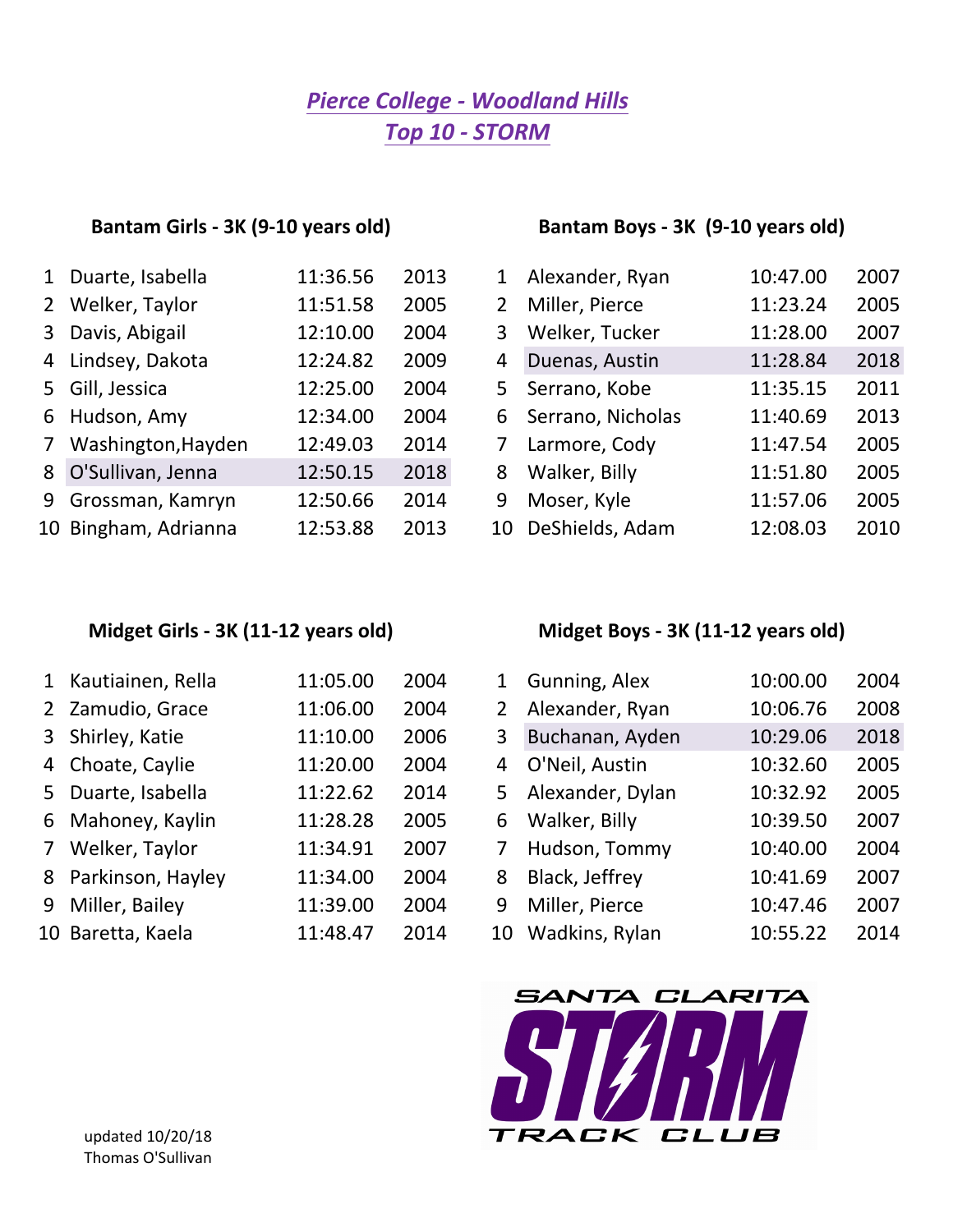## *Top 10 - STORM Pierce College - Woodland Hills*

### Bantam Girls - 3K (9-10 years old) Bantam Boys - 3K (9-10 years old)

| 1 Duarte, Isabella   | 11:36.56 | 2013 |                       | Alexander, Ryan   | 10:47.00 | 2007 |
|----------------------|----------|------|-----------------------|-------------------|----------|------|
| 2 Welker, Taylor     | 11:51.58 | 2005 | $\mathbf{2}^{\prime}$ | Miller, Pierce    | 11:23.24 | 2005 |
| 3 Davis, Abigail     | 12:10.00 | 2004 | 3                     | Welker, Tucker    | 11:28.00 | 2007 |
| 4 Lindsey, Dakota    | 12:24.82 | 2009 | 4                     | Duenas, Austin    | 11:28.84 | 2018 |
| 5 Gill, Jessica      | 12:25.00 | 2004 | 5                     | Serrano, Kobe     | 11:35.15 | 2011 |
| 6 Hudson, Amy        | 12:34.00 | 2004 | 6                     | Serrano, Nicholas | 11:40.69 | 2013 |
| 7 Washington, Hayden | 12:49.03 | 2014 | 7                     | Larmore, Cody     | 11:47.54 | 2005 |
| 8 O'Sullivan, Jenna  | 12:50.15 | 2018 | 8                     | Walker, Billy     | 11:51.80 | 2005 |
| 9 Grossman, Kamryn   | 12:50.66 | 2014 | 9                     | Moser, Kyle       | 11:57.06 | 2005 |
| 10 Bingham, Adrianna | 12:53.88 | 2013 | 10                    | DeShields, Adam   | 12:08.03 | 2010 |

| 1 Duarte, Isabella   | 11:36.56 | 2013 | $1\overline{ }$ | Alexander, Ryan   | 10:47.00 | 2007 |
|----------------------|----------|------|-----------------|-------------------|----------|------|
| 2 Welker, Taylor     | 11:51.58 | 2005 | 2 <sup>1</sup>  | Miller, Pierce    | 11:23.24 | 2005 |
| 3 Davis, Abigail     | 12:10.00 | 2004 | 3               | Welker, Tucker    | 11:28.00 | 2007 |
| 4 Lindsey, Dakota    | 12:24.82 | 2009 | 4               | Duenas, Austin    | 11:28.84 | 2018 |
| 5 Gill, Jessica      | 12:25.00 | 2004 | 5.              | Serrano, Kobe     | 11:35.15 | 2011 |
| 6 Hudson, Amy        | 12:34.00 | 2004 | 6.              | Serrano, Nicholas | 11:40.69 | 2013 |
| 7 Washington, Hayden | 12:49.03 | 2014 |                 | Larmore, Cody     | 11:47.54 | 2005 |
| 8 O'Sullivan, Jenna  | 12:50.15 | 2018 | 8               | Walker, Billy     | 11:51.80 | 2005 |
| 9 Grossman, Kamryn   | 12:50.66 | 2014 | 9               | Moser, Kyle       | 11:57.06 | 2005 |
| 10 Bingham, Adrianna | 12:53.88 | 2013 | 10              | DeShields, Adam   | 12:08.03 | 2010 |

|                | 1 Kautiainen, Rella | 11:05.00 | 2004 |              | Gunning, Alex    | 10:00.00 | 2004 |
|----------------|---------------------|----------|------|--------------|------------------|----------|------|
|                | 2 Zamudio, Grace    | 11:06.00 | 2004 | $\mathbf{2}$ | Alexander, Ryan  | 10:06.76 | 2008 |
|                | 3 Shirley, Katie    | 11:10.00 | 2006 | 3            | Buchanan, Ayden  | 10:29.06 | 2018 |
|                | 4 Choate, Caylie    | 11:20.00 | 2004 | 4            | O'Neil, Austin   | 10:32.60 | 2005 |
|                | 5 Duarte, Isabella  | 11:22.62 | 2014 | 5.           | Alexander, Dylan | 10:32.92 | 2005 |
|                | 6 Mahoney, Kaylin   | 11:28.28 | 2005 | 6            | Walker, Billy    | 10:39.50 | 2007 |
| 7 <sup>7</sup> | Welker, Taylor      | 11:34.91 | 2007 | 7            | Hudson, Tommy    | 10:40.00 | 2004 |
|                | 8 Parkinson, Hayley | 11:34.00 | 2004 | 8            | Black, Jeffrey   | 10:41.69 | 2007 |
| 9              | Miller, Bailey      | 11:39.00 | 2004 | 9            | Miller, Pierce   | 10:47.46 | 2007 |
|                | 10 Baretta, Kaela   | 11:48.47 | 2014 | 10           | Wadkins, Rylan   | 10:55.22 | 2014 |

### Midget Girls - 3K (11-12 years old) Midget Boys - 3K (11-12 years old)

| $\mathbf{1}$ | Gunning, Alex    | 10:00.00 | 2004 |
|--------------|------------------|----------|------|
| 2            | Alexander, Ryan  | 10:06.76 | 2008 |
| 3            | Buchanan, Ayden  | 10:29.06 | 2018 |
| 4            | O'Neil, Austin   | 10:32.60 | 2005 |
| 5            | Alexander, Dylan | 10:32.92 | 2005 |
| 6            | Walker, Billy    | 10:39.50 | 2007 |
| 7            | Hudson, Tommy    | 10:40.00 | 2004 |
| 8            | Black, Jeffrey   | 10:41.69 | 2007 |
| 9            | Miller, Pierce   | 10:47.46 | 2007 |
| 10           | Wadkins, Rylan   | 10:55.22 | 2014 |